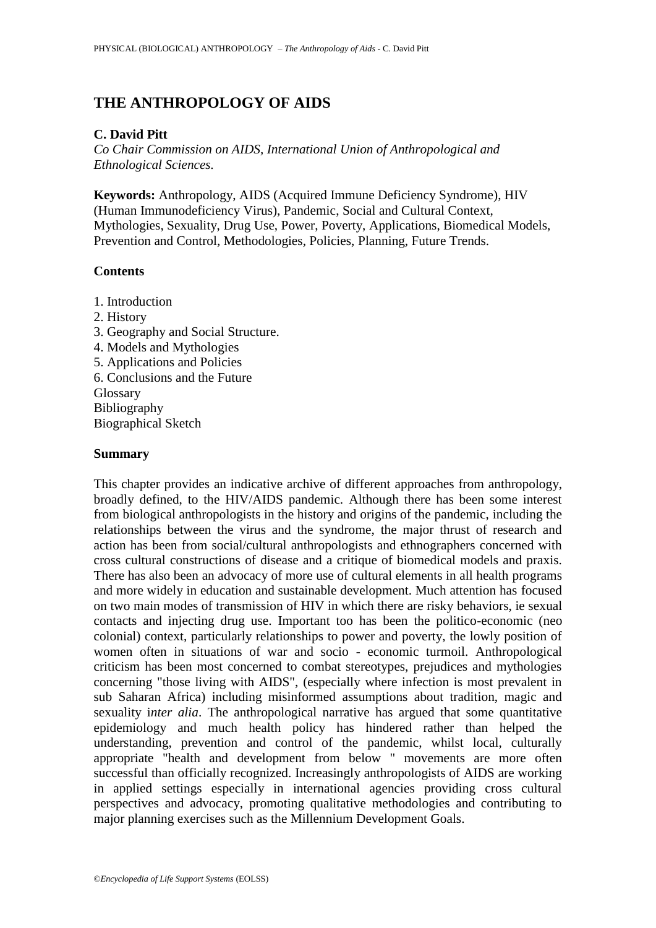# **THE ANTHROPOLOGY OF AIDS**

## **C. David Pitt**

*Co Chair Commission on AIDS, International Union of Anthropological and Ethnological Sciences.*

**Keywords:** Anthropology, AIDS (Acquired Immune Deficiency Syndrome), HIV (Human Immunodeficiency Virus), Pandemic, Social and Cultural Context, Mythologies, Sexuality, Drug Use, Power, Poverty, Applications, Biomedical Models, Prevention and Control, Methodologies, Policies, Planning, Future Trends.

# **Contents**

- 1. Introduction
- 2. History
- 3. Geography and Social Structure.
- 4. Models and Mythologies
- 5. Applications and Policies
- 6. Conclusions and the Future
- Glossary
- Bibliography

Biographical Sketch

## **Summary**

This chapter provides an indicative archive of different approaches from anthropology, broadly defined, to the HIV/AIDS pandemic. Although there has been some interest from biological anthropologists in the history and origins of the pandemic, including the relationships between the virus and the syndrome, the major thrust of research and action has been from social/cultural anthropologists and ethnographers concerned with cross cultural constructions of disease and a critique of biomedical models and praxis. There has also been an advocacy of more use of cultural elements in all health programs and more widely in education and sustainable development. Much attention has focused on two main modes of transmission of HIV in which there are risky behaviors, ie sexual contacts and injecting drug use. Important too has been the politico-economic (neo colonial) context, particularly relationships to power and poverty, the lowly position of women often in situations of war and socio - economic turmoil. Anthropological criticism has been most concerned to combat stereotypes, prejudices and mythologies concerning "those living with AIDS", (especially where infection is most prevalent in sub Saharan Africa) including misinformed assumptions about tradition, magic and sexuality i*nter alia*. The anthropological narrative has argued that some quantitative epidemiology and much health policy has hindered rather than helped the understanding, prevention and control of the pandemic, whilst local, culturally appropriate "health and development from below " movements are more often successful than officially recognized. Increasingly anthropologists of AIDS are working in applied settings especially in international agencies providing cross cultural perspectives and advocacy, promoting qualitative methodologies and contributing to major planning exercises such as the Millennium Development Goals.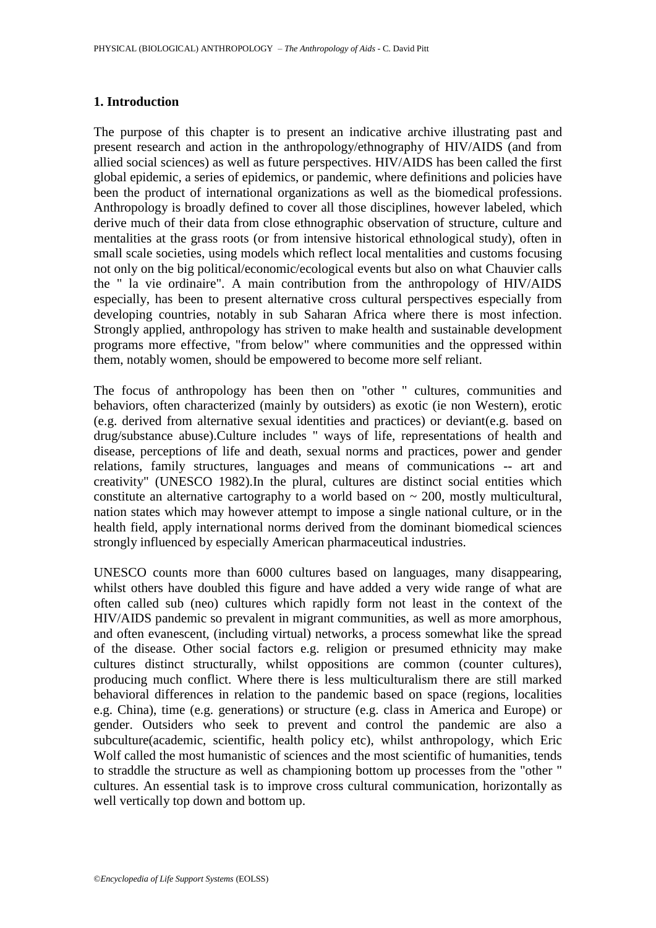### **1. Introduction**

The purpose of this chapter is to present an indicative archive illustrating past and present research and action in the anthropology/ethnography of HIV/AIDS (and from allied social sciences) as well as future perspectives. HIV/AIDS has been called the first global epidemic, a series of epidemics, or pandemic, where definitions and policies have been the product of international organizations as well as the biomedical professions. Anthropology is broadly defined to cover all those disciplines, however labeled, which derive much of their data from close ethnographic observation of structure, culture and mentalities at the grass roots (or from intensive historical ethnological study), often in small scale societies, using models which reflect local mentalities and customs focusing not only on the big political/economic/ecological events but also on what Chauvier calls the " la vie ordinaire". A main contribution from the anthropology of HIV/AIDS especially, has been to present alternative cross cultural perspectives especially from developing countries, notably in sub Saharan Africa where there is most infection. Strongly applied, anthropology has striven to make health and sustainable development programs more effective, "from below" where communities and the oppressed within them, notably women, should be empowered to become more self reliant.

The focus of anthropology has been then on "other " cultures, communities and behaviors, often characterized (mainly by outsiders) as exotic (ie non Western), erotic (e.g. derived from alternative sexual identities and practices) or deviant(e.g. based on drug/substance abuse).Culture includes " ways of life, representations of health and disease, perceptions of life and death, sexual norms and practices, power and gender relations, family structures, languages and means of communications -- art and creativity" (UNESCO 1982).In the plural, cultures are distinct social entities which constitute an alternative cartography to a world based on  $\sim$  200, mostly multicultural, nation states which may however attempt to impose a single national culture, or in the health field, apply international norms derived from the dominant biomedical sciences strongly influenced by especially American pharmaceutical industries.

UNESCO counts more than 6000 cultures based on languages, many disappearing, whilst others have doubled this figure and have added a very wide range of what are often called sub (neo) cultures which rapidly form not least in the context of the HIV/AIDS pandemic so prevalent in migrant communities, as well as more amorphous, and often evanescent, (including virtual) networks, a process somewhat like the spread of the disease. Other social factors e.g. religion or presumed ethnicity may make cultures distinct structurally, whilst oppositions are common (counter cultures), producing much conflict. Where there is less multiculturalism there are still marked behavioral differences in relation to the pandemic based on space (regions, localities e.g. China), time (e.g. generations) or structure (e.g. class in America and Europe) or gender. Outsiders who seek to prevent and control the pandemic are also a subculture(academic, scientific, health policy etc), whilst anthropology, which Eric Wolf called the most humanistic of sciences and the most scientific of humanities, tends to straddle the structure as well as championing bottom up processes from the "other " cultures. An essential task is to improve cross cultural communication, horizontally as well vertically top down and bottom up.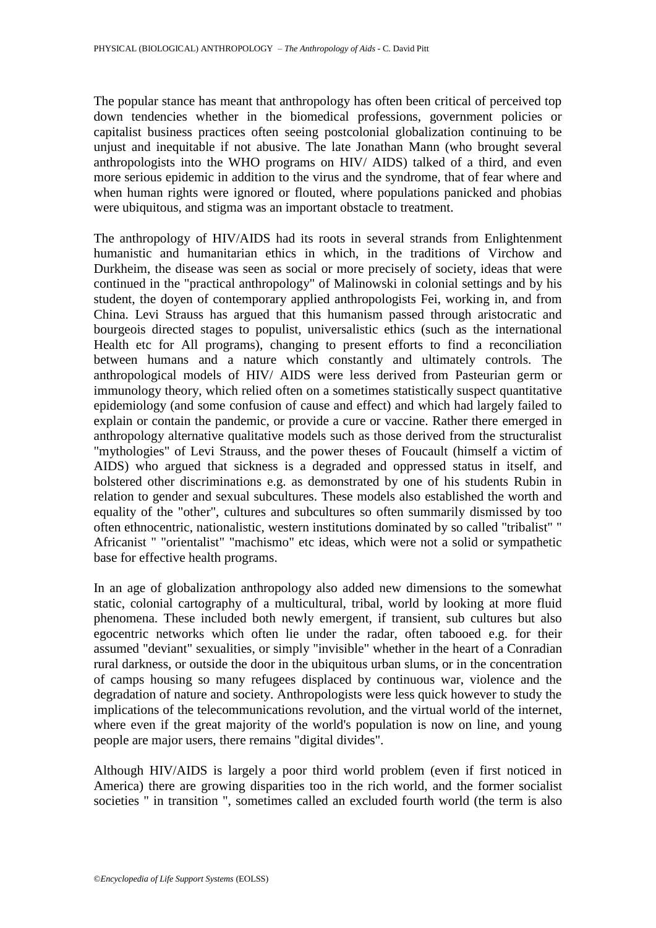The popular stance has meant that anthropology has often been critical of perceived top down tendencies whether in the biomedical professions, government policies or capitalist business practices often seeing postcolonial globalization continuing to be unjust and inequitable if not abusive. The late Jonathan Mann (who brought several anthropologists into the WHO programs on HIV/ AIDS) talked of a third, and even more serious epidemic in addition to the virus and the syndrome, that of fear where and when human rights were ignored or flouted, where populations panicked and phobias were ubiquitous, and stigma was an important obstacle to treatment.

The anthropology of HIV/AIDS had its roots in several strands from Enlightenment humanistic and humanitarian ethics in which, in the traditions of Virchow and Durkheim, the disease was seen as social or more precisely of society, ideas that were continued in the "practical anthropology" of Malinowski in colonial settings and by his student, the doyen of contemporary applied anthropologists Fei, working in, and from China. Levi Strauss has argued that this humanism passed through aristocratic and bourgeois directed stages to populist, universalistic ethics (such as the international Health etc for All programs), changing to present efforts to find a reconciliation between humans and a nature which constantly and ultimately controls. The anthropological models of HIV/ AIDS were less derived from Pasteurian germ or immunology theory, which relied often on a sometimes statistically suspect quantitative epidemiology (and some confusion of cause and effect) and which had largely failed to explain or contain the pandemic, or provide a cure or vaccine. Rather there emerged in anthropology alternative qualitative models such as those derived from the structuralist "mythologies" of Levi Strauss, and the power theses of Foucault (himself a victim of AIDS) who argued that sickness is a degraded and oppressed status in itself, and bolstered other discriminations e.g. as demonstrated by one of his students Rubin in relation to gender and sexual subcultures. These models also established the worth and equality of the "other", cultures and subcultures so often summarily dismissed by too often ethnocentric, nationalistic, western institutions dominated by so called "tribalist" " Africanist " "orientalist" "machismo" etc ideas, which were not a solid or sympathetic base for effective health programs.

In an age of globalization anthropology also added new dimensions to the somewhat static, colonial cartography of a multicultural, tribal, world by looking at more fluid phenomena. These included both newly emergent, if transient, sub cultures but also egocentric networks which often lie under the radar, often tabooed e.g. for their assumed "deviant" sexualities, or simply "invisible" whether in the heart of a Conradian rural darkness, or outside the door in the ubiquitous urban slums, or in the concentration of camps housing so many refugees displaced by continuous war, violence and the degradation of nature and society. Anthropologists were less quick however to study the implications of the telecommunications revolution, and the virtual world of the internet, where even if the great majority of the world's population is now on line, and young people are major users, there remains "digital divides".

Although HIV/AIDS is largely a poor third world problem (even if first noticed in America) there are growing disparities too in the rich world, and the former socialist societies " in transition ", sometimes called an excluded fourth world (the term is also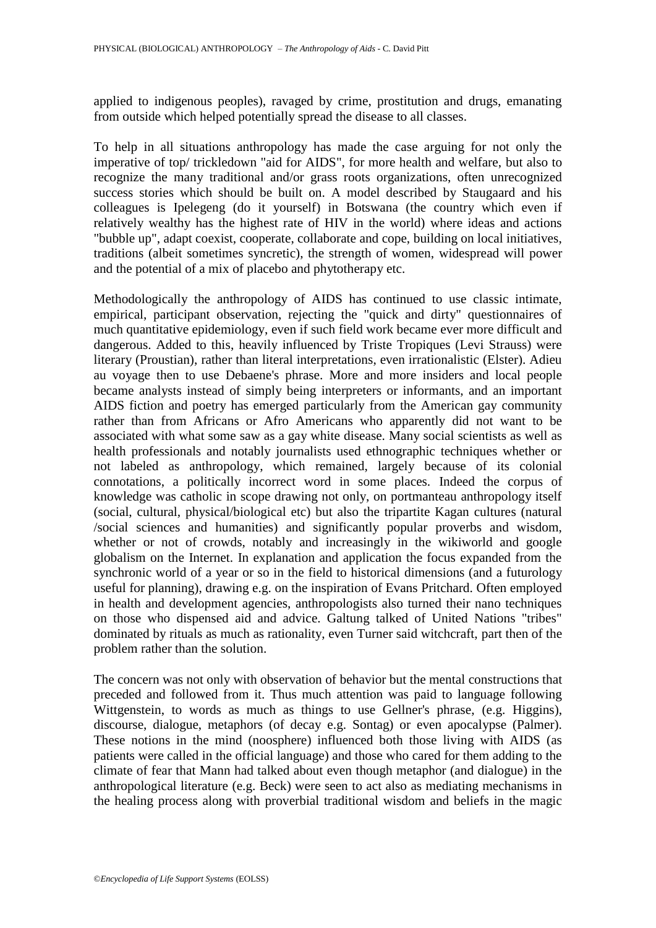applied to indigenous peoples), ravaged by crime, prostitution and drugs, emanating from outside which helped potentially spread the disease to all classes.

To help in all situations anthropology has made the case arguing for not only the imperative of top/ trickledown "aid for AIDS", for more health and welfare, but also to recognize the many traditional and/or grass roots organizations, often unrecognized success stories which should be built on. A model described by Staugaard and his colleagues is Ipelegeng (do it yourself) in Botswana (the country which even if relatively wealthy has the highest rate of HIV in the world) where ideas and actions "bubble up", adapt coexist, cooperate, collaborate and cope, building on local initiatives, traditions (albeit sometimes syncretic), the strength of women, widespread will power and the potential of a mix of placebo and phytotherapy etc.

Methodologically the anthropology of AIDS has continued to use classic intimate, empirical, participant observation, rejecting the "quick and dirty" questionnaires of much quantitative epidemiology, even if such field work became ever more difficult and dangerous. Added to this, heavily influenced by Triste Tropiques (Levi Strauss) were literary (Proustian), rather than literal interpretations, even irrationalistic (Elster). Adieu au voyage then to use Debaene's phrase. More and more insiders and local people became analysts instead of simply being interpreters or informants, and an important AIDS fiction and poetry has emerged particularly from the American gay community rather than from Africans or Afro Americans who apparently did not want to be associated with what some saw as a gay white disease. Many social scientists as well as health professionals and notably journalists used ethnographic techniques whether or not labeled as anthropology, which remained, largely because of its colonial connotations, a politically incorrect word in some places. Indeed the corpus of knowledge was catholic in scope drawing not only, on portmanteau anthropology itself (social, cultural, physical/biological etc) but also the tripartite Kagan cultures (natural /social sciences and humanities) and significantly popular proverbs and wisdom, whether or not of crowds, notably and increasingly in the wikiworld and google globalism on the Internet. In explanation and application the focus expanded from the synchronic world of a year or so in the field to historical dimensions (and a futurology useful for planning), drawing e.g. on the inspiration of Evans Pritchard. Often employed in health and development agencies, anthropologists also turned their nano techniques on those who dispensed aid and advice. Galtung talked of United Nations "tribes" dominated by rituals as much as rationality, even Turner said witchcraft, part then of the problem rather than the solution.

The concern was not only with observation of behavior but the mental constructions that preceded and followed from it. Thus much attention was paid to language following Wittgenstein, to words as much as things to use Gellner's phrase, (e.g. Higgins), discourse, dialogue, metaphors (of decay e.g. Sontag) or even apocalypse (Palmer). These notions in the mind (noosphere) influenced both those living with AIDS (as patients were called in the official language) and those who cared for them adding to the climate of fear that Mann had talked about even though metaphor (and dialogue) in the anthropological literature (e.g. Beck) were seen to act also as mediating mechanisms in the healing process along with proverbial traditional wisdom and beliefs in the magic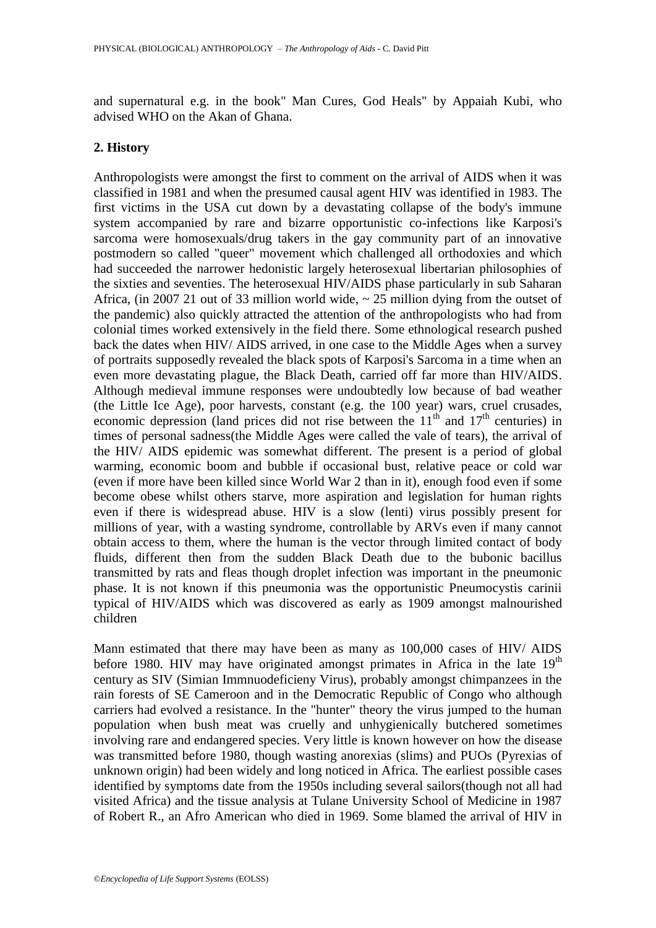and supernatural e.g. in the book" Man Cures, God Heals" by Appaiah Kubi, who advised WHO on the Akan of Ghana.

#### **2. History**

Anthropologists were amongst the first to comment on the arrival of AIDS when it was classified in 1981 and when the presumed causal agent HIV was identified in 1983. The first victims in the USA cut down by a devastating collapse of the body's immune system accompanied by rare and bizarre opportunistic co-infections like Karposi's sarcoma were homosexuals/drug takers in the gay community part of an innovative postmodern so called "queer" movement which challenged all orthodoxies and which had succeeded the narrower hedonistic largely heterosexual libertarian philosophies of the sixties and seventies. The heterosexual HIV/AIDS phase particularly in sub Saharan Africa, (in 2007 21 out of 33 million world wide,  $\sim 25$  million dying from the outset of the pandemic) also quickly attracted the attention of the anthropologists who had from colonial times worked extensively in the field there. Some ethnological research pushed back the dates when HIV/ AIDS arrived, in one case to the Middle Ages when a survey of portraits supposedly revealed the black spots of Karposi's Sarcoma in a time when an even more devastating plague, the Black Death, carried off far more than HIV/AIDS. Although medieval immune responses were undoubtedly low because of bad weather (the Little Ice Age), poor harvests, constant (e.g. the 100 year) wars, cruel crusades, economic depression (land prices did not rise between the  $11<sup>th</sup>$  and  $17<sup>th</sup>$  centuries) in times of personal sadness(the Middle Ages were called the vale of tears), the arrival of the HIV/ AIDS epidemic was somewhat different. The present is a period of global warming, economic boom and bubble if occasional bust, relative peace or cold war (even if more have been killed since World War 2 than in it), enough food even if some become obese whilst others starve, more aspiration and legislation for human rights even if there is widespread abuse. HIV is a slow (lenti) virus possibly present for millions of year, with a wasting syndrome, controllable by ARVs even if many cannot obtain access to them, where the human is the vector through limited contact of body fluids, different then from the sudden Black Death due to the bubonic bacillus transmitted by rats and fleas though droplet infection was important in the pneumonic phase. It is not known if this pneumonia was the opportunistic Pneumocystis carinii typical of HIV/AIDS which was discovered as early as 1909 amongst malnourished children

Mann estimated that there may have been as many as 100,000 cases of HIV/ AIDS before 1980. HIV may have originated amongst primates in Africa in the late  $19<sup>th</sup>$ century as SIV (Simian Immnuodeficieny Virus), probably amongst chimpanzees in the rain forests of SE Cameroon and in the Democratic Republic of Congo who although carriers had evolved a resistance. In the "hunter" theory the virus jumped to the human population when bush meat was cruelly and unhygienically butchered sometimes involving rare and endangered species. Very little is known however on how the disease was transmitted before 1980, though wasting anorexias (slims) and PUOs (Pyrexias of unknown origin) had been widely and long noticed in Africa. The earliest possible cases identified by symptoms date from the 1950s including several sailors(though not all had visited Africa) and the tissue analysis at Tulane University School of Medicine in 1987 of Robert R., an Afro American who died in 1969. Some blamed the arrival of HIV in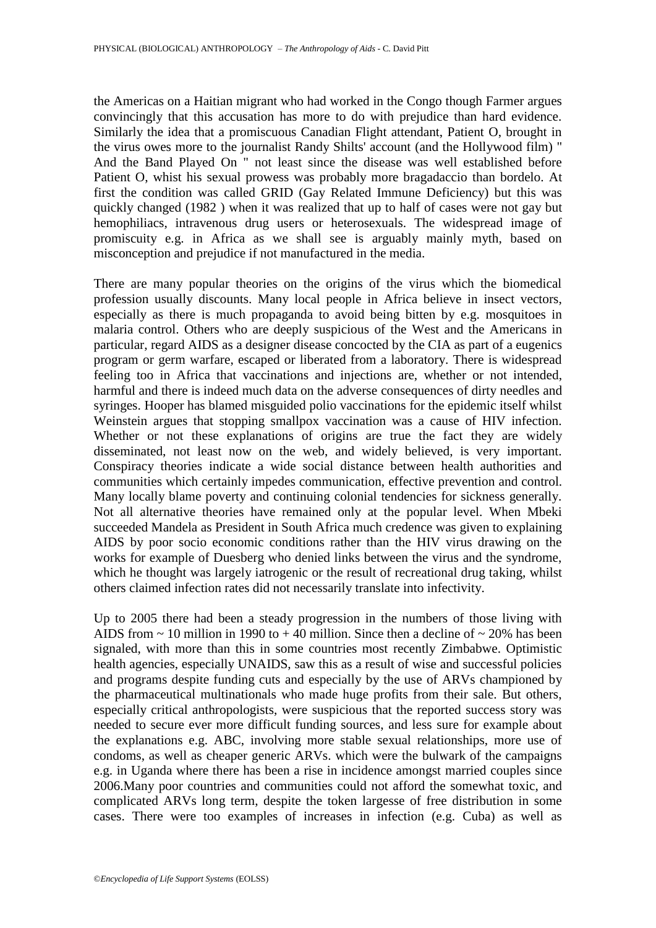the Americas on a Haitian migrant who had worked in the Congo though Farmer argues convincingly that this accusation has more to do with prejudice than hard evidence. Similarly the idea that a promiscuous Canadian Flight attendant, Patient O, brought in the virus owes more to the journalist Randy Shilts' account (and the Hollywood film) " And the Band Played On " not least since the disease was well established before Patient O, whist his sexual prowess was probably more bragadaccio than bordelo. At first the condition was called GRID (Gay Related Immune Deficiency) but this was quickly changed (1982 ) when it was realized that up to half of cases were not gay but hemophiliacs, intravenous drug users or heterosexuals. The widespread image of promiscuity e.g. in Africa as we shall see is arguably mainly myth, based on misconception and prejudice if not manufactured in the media.

There are many popular theories on the origins of the virus which the biomedical profession usually discounts. Many local people in Africa believe in insect vectors, especially as there is much propaganda to avoid being bitten by e.g. mosquitoes in malaria control. Others who are deeply suspicious of the West and the Americans in particular, regard AIDS as a designer disease concocted by the CIA as part of a eugenics program or germ warfare, escaped or liberated from a laboratory. There is widespread feeling too in Africa that vaccinations and injections are, whether or not intended, harmful and there is indeed much data on the adverse consequences of dirty needles and syringes. Hooper has blamed misguided polio vaccinations for the epidemic itself whilst Weinstein argues that stopping smallpox vaccination was a cause of HIV infection. Whether or not these explanations of origins are true the fact they are widely disseminated, not least now on the web, and widely believed, is very important. Conspiracy theories indicate a wide social distance between health authorities and communities which certainly impedes communication, effective prevention and control. Many locally blame poverty and continuing colonial tendencies for sickness generally. Not all alternative theories have remained only at the popular level. When Mbeki succeeded Mandela as President in South Africa much credence was given to explaining AIDS by poor socio economic conditions rather than the HIV virus drawing on the works for example of Duesberg who denied links between the virus and the syndrome, which he thought was largely iatrogenic or the result of recreational drug taking, whilst others claimed infection rates did not necessarily translate into infectivity.

Up to 2005 there had been a steady progression in the numbers of those living with AIDS from  $\sim$  10 million in 1990 to  $+$  40 million. Since then a decline of  $\sim$  20% has been signaled, with more than this in some countries most recently Zimbabwe. Optimistic health agencies, especially UNAIDS, saw this as a result of wise and successful policies and programs despite funding cuts and especially by the use of ARVs championed by the pharmaceutical multinationals who made huge profits from their sale. But others, especially critical anthropologists, were suspicious that the reported success story was needed to secure ever more difficult funding sources, and less sure for example about the explanations e.g. ABC, involving more stable sexual relationships, more use of condoms, as well as cheaper generic ARVs. which were the bulwark of the campaigns e.g. in Uganda where there has been a rise in incidence amongst married couples since 2006.Many poor countries and communities could not afford the somewhat toxic, and complicated ARVs long term, despite the token largesse of free distribution in some cases. There were too examples of increases in infection (e.g. Cuba) as well as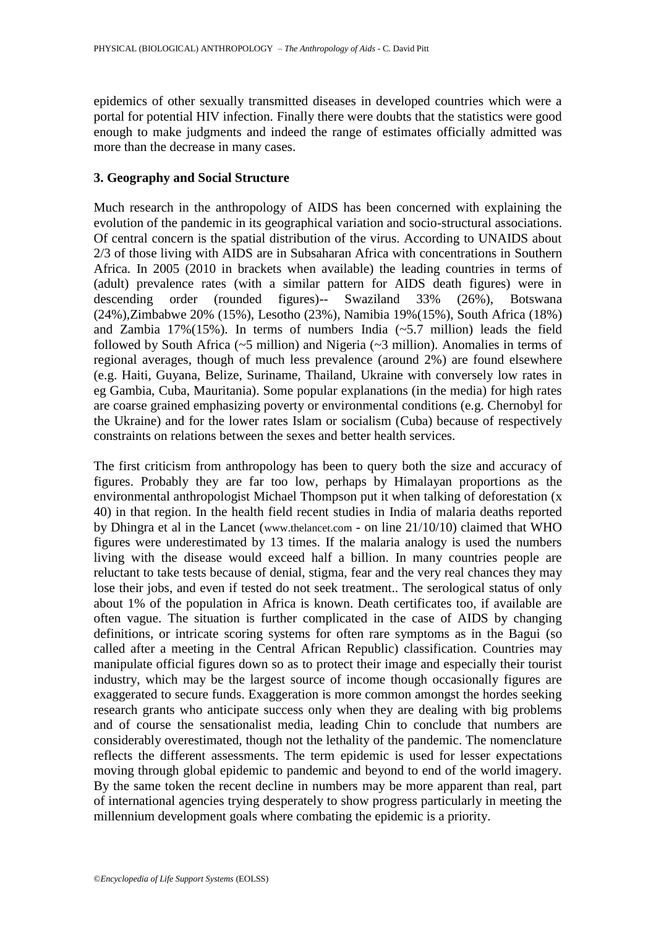epidemics of other sexually transmitted diseases in developed countries which were a portal for potential HIV infection. Finally there were doubts that the statistics were good enough to make judgments and indeed the range of estimates officially admitted was more than the decrease in many cases.

#### **3. Geography and Social Structure**

Much research in the anthropology of AIDS has been concerned with explaining the evolution of the pandemic in its geographical variation and socio-structural associations. Of central concern is the spatial distribution of the virus. According to UNAIDS about 2/3 of those living with AIDS are in Subsaharan Africa with concentrations in Southern Africa. In 2005 (2010 in brackets when available) the leading countries in terms of (adult) prevalence rates (with a similar pattern for AIDS death figures) were in descending order (rounded figures)-- Swaziland 33% (26%), Botswana (24%),Zimbabwe 20% (15%), Lesotho (23%), Namibia 19%(15%), South Africa (18%) and Zambia 17%(15%). In terms of numbers India  $(-5.7 \text{ million})$  leads the field followed by South Africa (~5 million) and Nigeria (~3 million). Anomalies in terms of regional averages, though of much less prevalence (around 2%) are found elsewhere (e.g. Haiti, Guyana, Belize, Suriname, Thailand, Ukraine with conversely low rates in eg Gambia, Cuba, Mauritania). Some popular explanations (in the media) for high rates are coarse grained emphasizing poverty or environmental conditions (e.g. Chernobyl for the Ukraine) and for the lower rates Islam or socialism (Cuba) because of respectively constraints on relations between the sexes and better health services.

The first criticism from anthropology has been to query both the size and accuracy of figures. Probably they are far too low, perhaps by Himalayan proportions as the environmental anthropologist Michael Thompson put it when talking of deforestation (x 40) in that region. In the health field recent studies in India of malaria deaths reported by Dhingra et al in the Lancet (www.thelancet.com - on line 21/10/10) claimed that WHO figures were underestimated by 13 times. If the malaria analogy is used the numbers living with the disease would exceed half a billion. In many countries people are reluctant to take tests because of denial, stigma, fear and the very real chances they may lose their jobs, and even if tested do not seek treatment.. The serological status of only about 1% of the population in Africa is known. Death certificates too, if available are often vague. The situation is further complicated in the case of AIDS by changing definitions, or intricate scoring systems for often rare symptoms as in the Bagui (so called after a meeting in the Central African Republic) classification. Countries may manipulate official figures down so as to protect their image and especially their tourist industry, which may be the largest source of income though occasionally figures are exaggerated to secure funds. Exaggeration is more common amongst the hordes seeking research grants who anticipate success only when they are dealing with big problems and of course the sensationalist media, leading Chin to conclude that numbers are considerably overestimated, though not the lethality of the pandemic. The nomenclature reflects the different assessments. The term epidemic is used for lesser expectations moving through global epidemic to pandemic and beyond to end of the world imagery. By the same token the recent decline in numbers may be more apparent than real, part of international agencies trying desperately to show progress particularly in meeting the millennium development goals where combating the epidemic is a priority.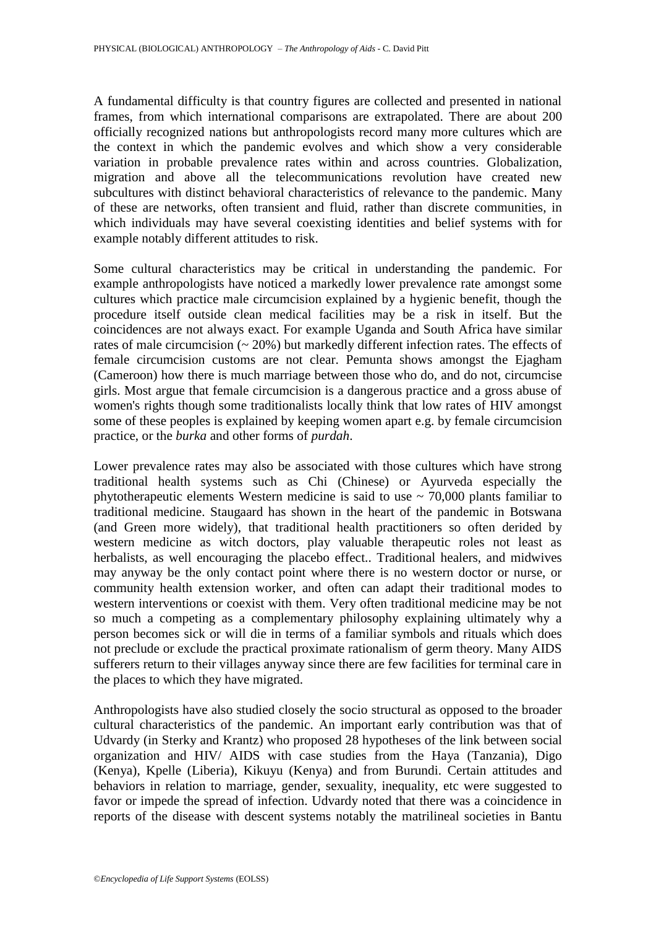A fundamental difficulty is that country figures are collected and presented in national frames, from which international comparisons are extrapolated. There are about 200 officially recognized nations but anthropologists record many more cultures which are the context in which the pandemic evolves and which show a very considerable variation in probable prevalence rates within and across countries. Globalization, migration and above all the telecommunications revolution have created new subcultures with distinct behavioral characteristics of relevance to the pandemic. Many of these are networks, often transient and fluid, rather than discrete communities, in which individuals may have several coexisting identities and belief systems with for example notably different attitudes to risk.

Some cultural characteristics may be critical in understanding the pandemic. For example anthropologists have noticed a markedly lower prevalence rate amongst some cultures which practice male circumcision explained by a hygienic benefit, though the procedure itself outside clean medical facilities may be a risk in itself. But the coincidences are not always exact. For example Uganda and South Africa have similar rates of male circumcision  $(20\%)$  but markedly different infection rates. The effects of female circumcision customs are not clear. Pemunta shows amongst the Ejagham (Cameroon) how there is much marriage between those who do, and do not, circumcise girls. Most argue that female circumcision is a dangerous practice and a gross abuse of women's rights though some traditionalists locally think that low rates of HIV amongst some of these peoples is explained by keeping women apart e.g. by female circumcision practice, or the *burka* and other forms of *purdah*.

Lower prevalence rates may also be associated with those cultures which have strong traditional health systems such as Chi (Chinese) or Ayurveda especially the phytotherapeutic elements Western medicine is said to use  $\sim$  70,000 plants familiar to traditional medicine. Staugaard has shown in the heart of the pandemic in Botswana (and Green more widely), that traditional health practitioners so often derided by western medicine as witch doctors, play valuable therapeutic roles not least as herbalists, as well encouraging the placebo effect.. Traditional healers, and midwives may anyway be the only contact point where there is no western doctor or nurse, or community health extension worker, and often can adapt their traditional modes to western interventions or coexist with them. Very often traditional medicine may be not so much a competing as a complementary philosophy explaining ultimately why a person becomes sick or will die in terms of a familiar symbols and rituals which does not preclude or exclude the practical proximate rationalism of germ theory. Many AIDS sufferers return to their villages anyway since there are few facilities for terminal care in the places to which they have migrated.

Anthropologists have also studied closely the socio structural as opposed to the broader cultural characteristics of the pandemic. An important early contribution was that of Udvardy (in Sterky and Krantz) who proposed 28 hypotheses of the link between social organization and HIV/ AIDS with case studies from the Haya (Tanzania), Digo (Kenya), Kpelle (Liberia), Kikuyu (Kenya) and from Burundi. Certain attitudes and behaviors in relation to marriage, gender, sexuality, inequality, etc were suggested to favor or impede the spread of infection. Udvardy noted that there was a coincidence in reports of the disease with descent systems notably the matrilineal societies in Bantu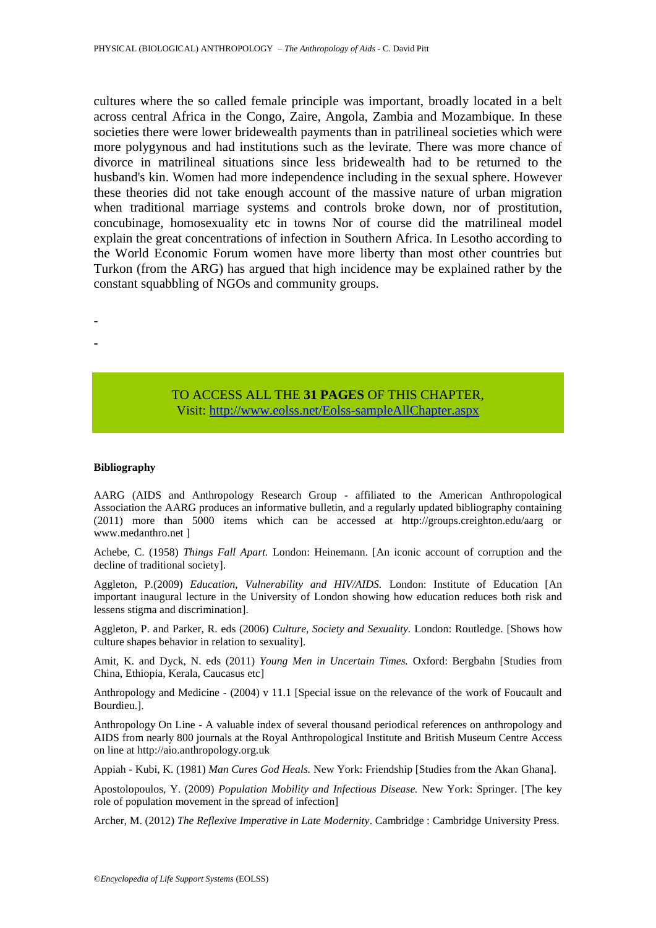cultures where the so called female principle was important, broadly located in a belt across central Africa in the Congo, Zaire, Angola, Zambia and Mozambique. In these societies there were lower bridewealth payments than in patrilineal societies which were more polygynous and had institutions such as the levirate. There was more chance of divorce in matrilineal situations since less bridewealth had to be returned to the husband's kin. Women had more independence including in the sexual sphere. However these theories did not take enough account of the massive nature of urban migration when traditional marriage systems and controls broke down, nor of prostitution, concubinage, homosexuality etc in towns Nor of course did the matrilineal model explain the great concentrations of infection in Southern Africa. In Lesotho according to the World Economic Forum women have more liberty than most other countries but Turkon (from the ARG) has argued that high incidence may be explained rather by the constant squabbling of NGOs and community groups.

- -

> TO ACCESS ALL THE **31 PAGES** OF THIS CHAPTER, Visi[t: http://www.eolss.net/Eolss-sampleAllChapter.aspx](https://www.eolss.net/ebooklib/sc_cart.aspx?File=E6-20A-31)

#### **Bibliography**

AARG (AIDS and Anthropology Research Group - affiliated to the American Anthropological Association the AARG produces an informative bulletin, and a regularly updated bibliography containing (2011) more than 5000 items which can be accessed at http://groups.creighton.edu/aarg or www.medanthro.net ]

Achebe, C. (1958) *Things Fall Apart.* London: Heinemann. [An iconic account of corruption and the decline of traditional society].

Aggleton, P.(2009) *Education, Vulnerability and HIV/AIDS.* London: Institute of Education [An important inaugural lecture in the University of London showing how education reduces both risk and lessens stigma and discrimination].

Aggleton, P. and Parker, R. eds (2006) *Culture, Society and Sexuality.* London: Routledge. [Shows how culture shapes behavior in relation to sexuality].

Amit, K. and Dyck, N. eds (2011) *Young Men in Uncertain Times.* Oxford: Bergbahn [Studies from China, Ethiopia, Kerala, Caucasus etc]

Anthropology and Medicine - (2004) v 11.1 [Special issue on the relevance of the work of Foucault and Bourdieu.].

Anthropology On Line - A valuable index of several thousand periodical references on anthropology and AIDS from nearly 800 journals at the Royal Anthropological Institute and British Museum Centre Access on line at http://aio.anthropology.org.uk

Appiah - Kubi, K. (1981) *Man Cures God Heals.* New York: Friendship [Studies from the Akan Ghana].

Apostolopoulos, Y. (2009) *Population Mobility and Infectious Disease.* New York: Springer. [The key role of population movement in the spread of infection]

Archer, M. (2012) *The Reflexive Imperative in Late Modernity*. Cambridge : Cambridge University Press.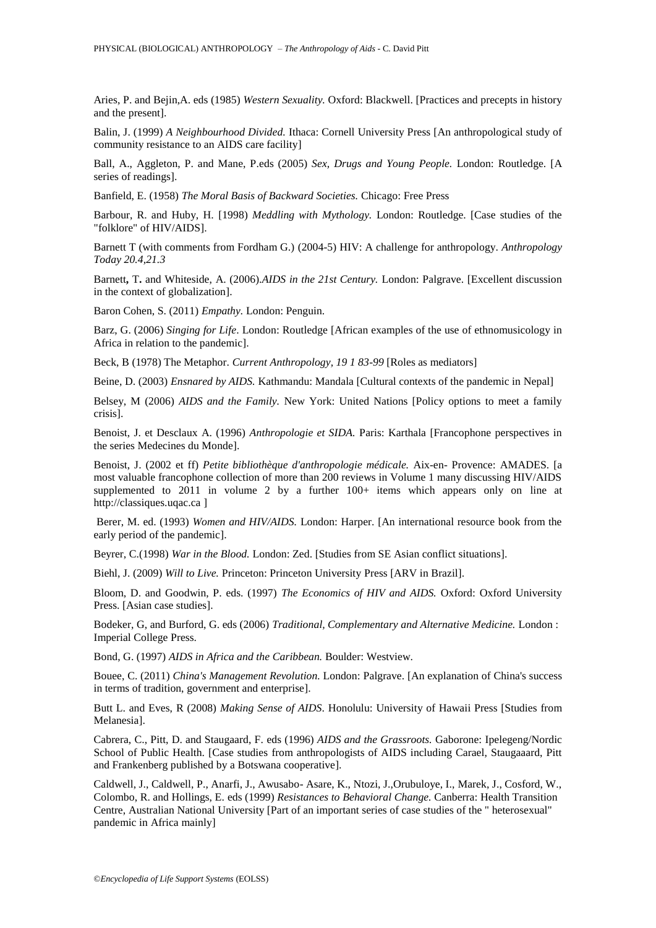Aries, P. and Bejin,A. eds (1985) *Western Sexuality.* Oxford: Blackwell. [Practices and precepts in history and the present].

Balin, J. (1999) *A Neighbourhood Divided.* Ithaca: Cornell University Press [An anthropological study of community resistance to an AIDS care facility]

Ball, A., Aggleton, P. and Mane, P.eds (2005) *Sex, Drugs and Young People.* London: Routledge. [A series of readings].

Banfield, E. (1958) *The Moral Basis of Backward Societies.* Chicago: Free Press

Barbour, R. and Huby, H. [1998) *Meddling with Mythology.* London: Routledge. [Case studies of the "folklore" of HIV/AIDS].

Barnett T (with comments from Fordham G.) (2004-5) HIV: A challenge for anthropology. *Anthropology Today 20.4,21.3*

Barnett**,** T**.** and Whiteside, A. (2006).*AIDS in the 21st Century.* London: Palgrave. [Excellent discussion in the context of globalization].

Baron Cohen, S. (2011) *Empathy.* London: Penguin.

Barz, G. (2006) *Singing for Life*. London: Routledge [African examples of the use of ethnomusicology in Africa in relation to the pandemic].

Beck, B (1978) The Metaphor. *Current Anthropology, 19 1 83-99* [Roles as mediators]

Beine, D. (2003) *Ensnared by AIDS.* Kathmandu: Mandala [Cultural contexts of the pandemic in Nepal]

Belsey, M (2006) *AIDS and the Family.* New York: United Nations [Policy options to meet a family crisis].

Benoist, J. et Desclaux A. (1996) *Anthropologie et SIDA.* Paris: Karthala [Francophone perspectives in the series Medecines du Monde].

Benoist, J. (2002 et ff) *Petite bibliothèque d'anthropologie médicale.* Aix-en- Provence: AMADES. [a most valuable francophone collection of more than 200 reviews in Volume 1 many discussing HIV/AIDS supplemented to 2011 in volume 2 by a further 100+ items which appears only on line at http://classiques.uqac.ca ]

Berer, M. ed. (1993) *Women and HIV/AIDS.* London: Harper. [An international resource book from the early period of the pandemic].

Beyrer, C.(1998) *War in the Blood.* London: Zed. [Studies from SE Asian conflict situations].

Biehl, J. (2009) *Will to Live.* Princeton: Princeton University Press [ARV in Brazil].

Bloom, D. and Goodwin, P. eds. (1997) *The Economics of HIV and AIDS.* Oxford: Oxford University Press. [Asian case studies].

Bodeker, G, and Burford, G. eds (2006) *Traditional, Complementary and Alternative Medicine.* London : Imperial College Press.

Bond, G. (1997) *AIDS in Africa and the Caribbean.* Boulder: Westview.

Bouee, C. (2011) *China's Management Revolution.* London: Palgrave. [An explanation of China's success in terms of tradition, government and enterprise].

Butt L. and Eves, R (2008) *Making Sense of AIDS*. Honolulu: University of Hawaii Press [Studies from Melanesia].

Cabrera, C., Pitt, D. and Staugaard, F. eds (1996) *AIDS and the Grassroots.* Gaborone: Ipelegeng/Nordic School of Public Health. [Case studies from anthropologists of AIDS including Carael, Staugaaard, Pitt and Frankenberg published by a Botswana cooperative].

Caldwell, J., Caldwell, P., Anarfi, J., Awusabo- Asare, K., Ntozi, J.,Orubuloye, I., Marek, J., Cosford, W., Colombo, R. and Hollings, E. eds (1999) *Resistances to Behavioral Change.* Canberra: Health Transition Centre, Australian National University [Part of an important series of case studies of the " heterosexual" pandemic in Africa mainly]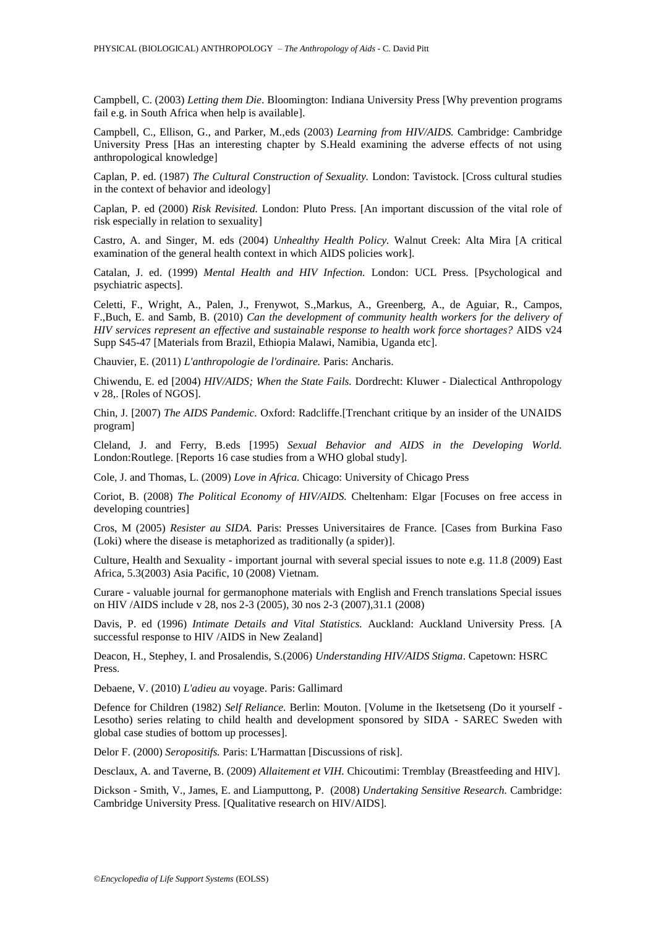Campbell, C. (2003) *Letting them Die*. Bloomington: Indiana University Press [Why prevention programs fail e.g. in South Africa when help is available].

Campbell, C., Ellison, G., and Parker, M.,eds (2003) *Learning from HIV/AIDS.* Cambridge: Cambridge University Press [Has an interesting chapter by S.Heald examining the adverse effects of not using anthropological knowledge]

Caplan, P. ed. (1987) *The Cultural Construction of Sexuality.* London: Tavistock. [Cross cultural studies in the context of behavior and ideology]

Caplan, P. ed (2000) *Risk Revisited.* London: Pluto Press. [An important discussion of the vital role of risk especially in relation to sexuality]

Castro, A. and Singer, M. eds (2004) *Unhealthy Health Policy.* Walnut Creek: Alta Mira [A critical examination of the general health context in which AIDS policies work].

Catalan, J. ed. (1999) *Mental Health and HIV Infection.* London: UCL Press. [Psychological and psychiatric aspects].

Celetti, F., Wright, A., Palen, J., Frenywot, S.,Markus, A., Greenberg, A., de Aguiar, R., Campos, F.,Buch, E. and Samb, B. (2010) *Can the development of community health workers for the delivery of HIV services represent an effective and sustainable response to health work force shortages?* AIDS v24 Supp S45-47 [Materials from Brazil, Ethiopia Malawi, Namibia, Uganda etc].

Chauvier, E. (2011) *L'anthropologie de l'ordinaire.* Paris: Ancharis.

Chiwendu, E. ed [2004) *HIV/AIDS; When the State Fails.* Dordrecht: Kluwer - Dialectical Anthropology v 28,. [Roles of NGOS].

Chin, J. [2007) *The AIDS Pandemic.* Oxford: Radcliffe.[Trenchant critique by an insider of the UNAIDS program]

Cleland, J. and Ferry, B.eds [1995) *Sexual Behavior and AIDS in the Developing World.*  London:Routlege. [Reports 16 case studies from a WHO global study].

Cole, J. and Thomas, L. (2009) *Love in Africa.* Chicago: University of Chicago Press

Coriot, B. (2008) *The Political Economy of HIV/AIDS.* Cheltenham: Elgar [Focuses on free access in developing countries]

Cros, M (2005) *Resister au SIDA.* Paris: Presses Universitaires de France. [Cases from Burkina Faso (Loki) where the disease is metaphorized as traditionally (a spider)].

Culture, Health and Sexuality - important journal with several special issues to note e.g. 11.8 (2009) East Africa, 5.3(2003) Asia Pacific, 10 (2008) Vietnam.

Curare - valuable journal for germanophone materials with English and French translations Special issues on HIV /AIDS include v 28, nos 2-3 (2005), 30 nos 2-3 (2007),31.1 (2008)

Davis, P. ed (1996) *Intimate Details and Vital Statistics.* Auckland: Auckland University Press. [A successful response to HIV /AIDS in New Zealand]

Deacon, H., Stephey, I. and Prosalendis, S.(2006) *Understanding HIV/AIDS Stigma*. Capetown: HSRC Press.

Debaene, V. (2010) *L'adieu au* voyage. Paris: Gallimard

Defence for Children (1982) *Self Reliance.* Berlin: Mouton. [Volume in the Iketsetseng (Do it yourself - Lesotho) series relating to child health and development sponsored by SIDA - SAREC Sweden with global case studies of bottom up processes].

Delor F. (2000) *Seropositifs.* Paris: L'Harmattan [Discussions of risk].

Desclaux, A. and Taverne, B. (2009) *Allaitement et VIH.* Chicoutimi: Tremblay (Breastfeeding and HIV].

Dickson - Smith, V., James, E. and Liamputtong, P. (2008) *Undertaking Sensitive Research.* Cambridge: Cambridge University Press. [Qualitative research on HIV/AIDS].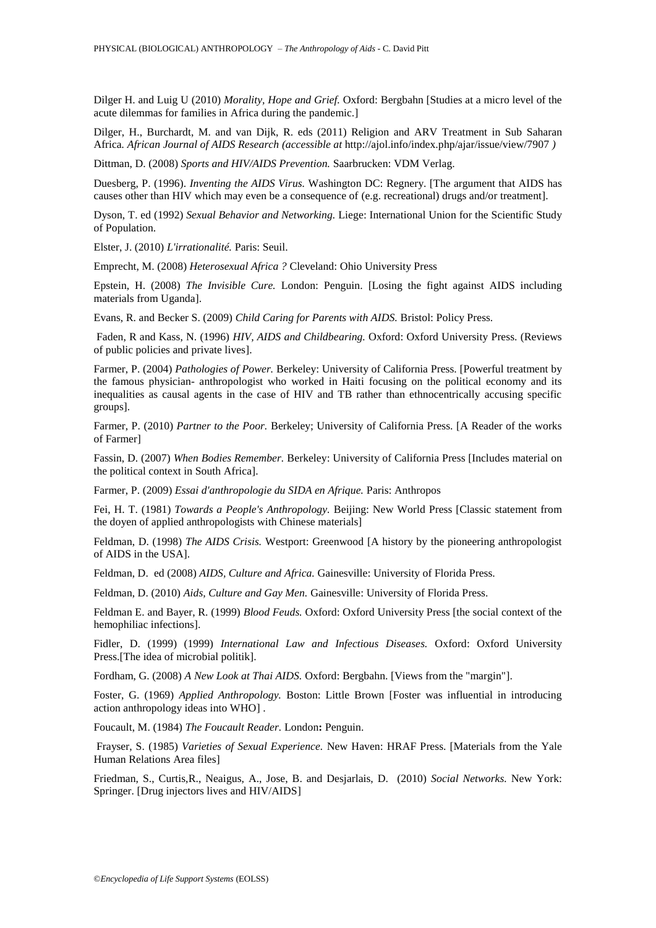Dilger H. and Luig U (2010) *Morality, Hope and Grief.* Oxford: Bergbahn [Studies at a micro level of the acute dilemmas for families in Africa during the pandemic.]

Dilger, H., Burchardt, M. and van Dijk, R. eds (2011) Religion and ARV Treatment in Sub Saharan Africa*. African Journal of AIDS Research (accessible at* http://ajol.info/index.php/ajar/issue/view/7907 *)* 

Dittman, D. (2008) *Sports and HIV/AIDS Prevention.* Saarbrucken: VDM Verlag.

Duesberg, P. (1996). *Inventing the AIDS Virus.* Washington DC: Regnery. [The argument that AIDS has causes other than HIV which may even be a consequence of (e.g. recreational) drugs and/or treatment].

Dyson, T. ed (1992) *Sexual Behavior and Networking.* Liege: International Union for the Scientific Study of Population.

Elster, J. (2010) *L'irrationalité.* Paris: Seuil.

Emprecht, M. (2008) *Heterosexual Africa ?* Cleveland: Ohio University Press

Epstein, H. (2008) *The Invisible Cure.* London: Penguin. [Losing the fight against AIDS including materials from Uganda].

Evans, R. and Becker S. (2009) *Child Caring for Parents with AIDS.* Bristol: Policy Press.

Faden, R and Kass, N. (1996) *HIV, AIDS and Childbearing.* Oxford: Oxford University Press. (Reviews of public policies and private lives].

Farmer, P. (2004) *Pathologies of Power.* Berkeley: University of California Press. [Powerful treatment by the famous physician- anthropologist who worked in Haiti focusing on the political economy and its inequalities as causal agents in the case of HIV and TB rather than ethnocentrically accusing specific groups].

Farmer, P. (2010) *Partner to the Poor.* Berkeley; University of California Press. [A Reader of the works of Farmer]

Fassin, D. (2007) *When Bodies Remember.* Berkeley: University of California Press [Includes material on the political context in South Africa].

Farmer, P. (2009) *Essai d'anthropologie du SIDA en Afrique.* Paris: Anthropos

Fei, H. T. (1981) *Towards a People's Anthropology.* Beijing: New World Press [Classic statement from the doyen of applied anthropologists with Chinese materials]

Feldman, D. (1998) *The AIDS Crisis.* Westport: Greenwood [A history by the pioneering anthropologist of AIDS in the USA].

Feldman, D. ed (2008) *AIDS, Culture and Africa.* Gainesville: University of Florida Press.

Feldman, D. (2010) *Aids, Culture and Gay Men.* Gainesville: University of Florida Press.

Feldman E. and Bayer, R. (1999) *Blood Feuds.* Oxford: Oxford University Press [the social context of the hemophiliac infections].

Fidler, D. (1999) (1999) *International Law and Infectious Diseases.* Oxford: Oxford University Press.[The idea of microbial politik].

Fordham, G. (2008) *A New Look at Thai AIDS.* Oxford: Bergbahn. [Views from the "margin"].

Foster, G. (1969) *Applied Anthropology.* Boston: Little Brown [Foster was influential in introducing action anthropology ideas into WHO] .

Foucault, M. (1984) *The Foucault Reader.* London**:** Penguin.

Frayser, S. (1985) *Varieties of Sexual Experience.* New Haven: HRAF Press. [Materials from the Yale Human Relations Area files]

Friedman, S., Curtis,R., Neaigus, A., Jose, B. and Desjarlais, D. (2010) *Social Networks.* New York: Springer. [Drug injectors lives and HIV/AIDS]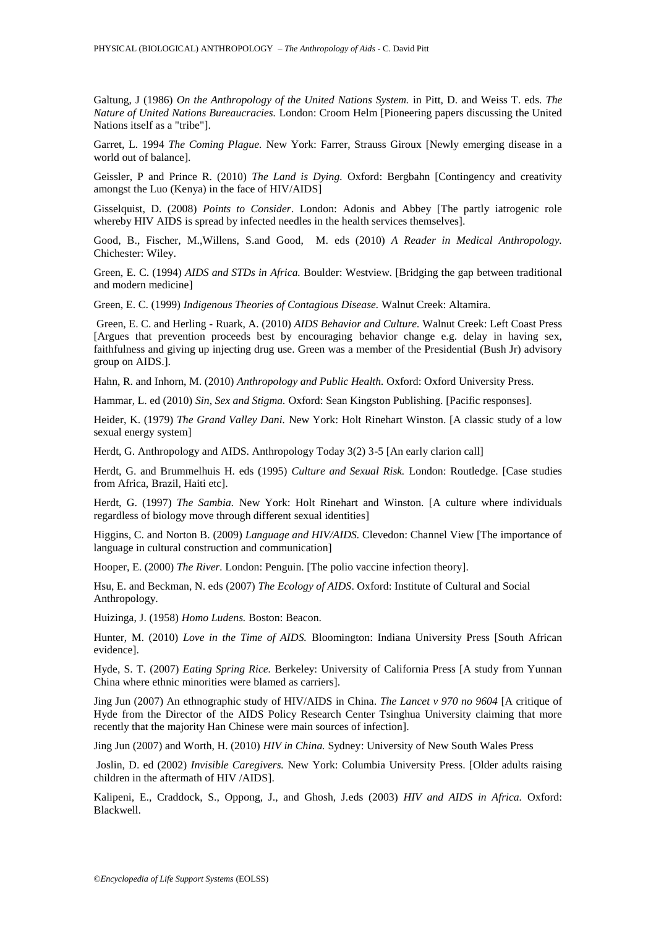Galtung, J (1986) *On the Anthropology of the United Nations System.* in Pitt, D. and Weiss T. eds. *The Nature of United Nations Bureaucracies.* London: Croom Helm [Pioneering papers discussing the United Nations itself as a "tribe"].

Garret, L. 1994 *The Coming Plague.* New York: Farrer, Strauss Giroux [Newly emerging disease in a world out of balance].

Geissler, P and Prince R. (2010) *The Land is Dying.* Oxford: Bergbahn [Contingency and creativity amongst the Luo (Kenya) in the face of HIV/AIDS]

Gisselquist, D. (2008) *Points to Consider*. London: Adonis and Abbey [The partly iatrogenic role whereby HIV AIDS is spread by infected needles in the health services themselves].

Good, B., Fischer, M.,Willens, S.and Good, M. eds (2010) *A Reader in Medical Anthropology.* Chichester: Wiley.

Green, E. C. (1994) *AIDS and STDs in Africa.* Boulder: Westview. [Bridging the gap between traditional and modern medicine]

Green, E. C. (1999) *Indigenous Theories of Contagious Disease.* Walnut Creek: Altamira.

Green, E. C. and Herling - Ruark, A. (2010) *AIDS Behavior and Culture.* Walnut Creek: Left Coast Press [Argues that prevention proceeds best by encouraging behavior change e.g. delay in having sex, faithfulness and giving up injecting drug use. Green was a member of the Presidential (Bush Jr) advisory group on AIDS.].

Hahn, R. and Inhorn, M. (2010) *Anthropology and Public Health.* Oxford: Oxford University Press.

Hammar, L. ed (2010) *Sin, Sex and Stigma.* Oxford: Sean Kingston Publishing. [Pacific responses].

Heider, K. (1979) *The Grand Valley Dani.* New York: Holt Rinehart Winston. [A classic study of a low sexual energy system]

Herdt, G. Anthropology and AIDS. Anthropology Today 3(2) 3-5 [An early clarion call]

Herdt, G. and Brummelhuis H. eds (1995) *Culture and Sexual Risk.* London: Routledge. [Case studies from Africa, Brazil, Haiti etc].

Herdt, G. (1997) *The Sambia.* New York: Holt Rinehart and Winston. [A culture where individuals regardless of biology move through different sexual identities]

Higgins, C. and Norton B. (2009) *Language and HIV/AIDS.* Clevedon: Channel View [The importance of language in cultural construction and communication]

Hooper, E. (2000) *The River.* London: Penguin. [The polio vaccine infection theory].

Hsu, E. and Beckman, N. eds (2007) *The Ecology of AIDS*. Oxford: Institute of Cultural and Social Anthropology.

Huizinga, J. (1958) *Homo Ludens.* Boston: Beacon.

Hunter, M. (2010) *Love in the Time of AIDS.* Bloomington: Indiana University Press [South African evidence].

Hyde, S. T. (2007) *Eating Spring Rice.* Berkeley: University of California Press [A study from Yunnan China where ethnic minorities were blamed as carriers].

Jing Jun (2007) An ethnographic study of HIV/AIDS in China. *The Lancet v 970 no 9604* [A critique of Hyde from the Director of the AIDS Policy Research Center Tsinghua University claiming that more recently that the majority Han Chinese were main sources of infection].

Jing Jun (2007) and Worth, H. (2010) *HIV in China.* Sydney: University of New South Wales Press

Joslin, D. ed (2002) *Invisible Caregivers.* New York: Columbia University Press. [Older adults raising children in the aftermath of HIV /AIDS].

Kalipeni, E., Craddock, S., Oppong, J., and Ghosh, J.eds (2003) *HIV and AIDS in Africa.* Oxford: Blackwell.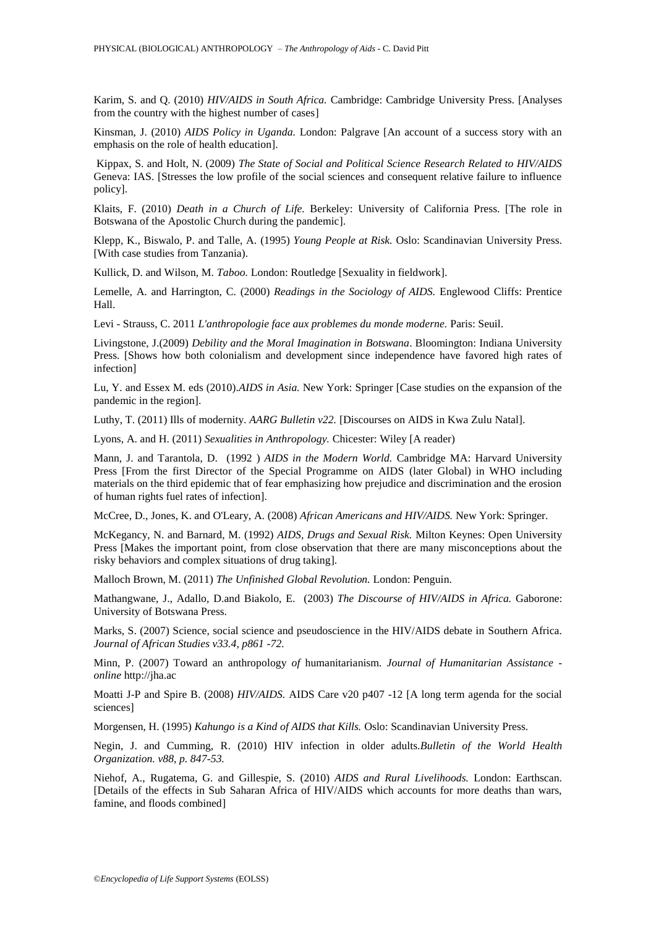Karim, S. and Q. (2010) *HIV/AIDS in South Africa.* Cambridge: Cambridge University Press. [Analyses from the country with the highest number of cases]

Kinsman, J. (2010) *AIDS Policy in Uganda.* London: Palgrave [An account of a success story with an emphasis on the role of health education].

Kippax, S. and Holt, N. (2009) *The State of Social and Political Science Research Related to HIV/AIDS* Geneva: IAS. [Stresses the low profile of the social sciences and consequent relative failure to influence policy].

Klaits, F. (2010) *Death in a Church of Life.* Berkeley: University of California Press. [The role in Botswana of the Apostolic Church during the pandemic].

Klepp, K., Biswalo, P. and Talle, A. (1995) *Young People at Risk.* Oslo: Scandinavian University Press. [With case studies from Tanzania).

Kullick, D. and Wilson, M. *Taboo.* London: Routledge [Sexuality in fieldwork].

Lemelle, A. and Harrington, C. (2000) *Readings in the Sociology of AIDS.* Englewood Cliffs: Prentice Hall.

Levi - Strauss, C. 2011 *L'anthropologie face aux problemes du monde moderne.* Paris: Seuil.

Livingstone, J.(2009) *Debility and the Moral Imagination in Botswana*. Bloomington: Indiana University Press. [Shows how both colonialism and development since independence have favored high rates of infection]

Lu, Y. and Essex M. eds (2010).*AIDS in Asia.* New York: Springer [Case studies on the expansion of the pandemic in the region].

Luthy, T. (2011) Ills of modernity. *AARG Bulletin v22.* [Discourses on AIDS in Kwa Zulu Natal].

Lyons, A. and H. (2011) *Sexualities in Anthropology.* Chicester: Wiley [A reader)

Mann, J. and Tarantola, D. (1992 ) *AIDS in the Modern World.* Cambridge MA: Harvard University Press [From the first Director of the Special Programme on AIDS (later Global) in WHO including materials on the third epidemic that of fear emphasizing how prejudice and discrimination and the erosion of human rights fuel rates of infection].

McCree, D., Jones, K. and O'Leary, A. (2008) *African Americans and HIV/AIDS.* New York: Springer.

McKegancy, N. and Barnard, M. (1992) *AIDS, Drugs and Sexual Risk.* Milton Keynes: Open University Press [Makes the important point, from close observation that there are many misconceptions about the risky behaviors and complex situations of drug taking].

Malloch Brown, M. (2011) *The Unfinished Global Revolution.* London: Penguin.

Mathangwane, J., Adallo, D.and Biakolo, E. (2003) *The Discourse of HIV/AIDS in Africa.* Gaborone: University of Botswana Press.

Marks, S. (2007) Science, social science and pseudoscience in the HIV/AIDS debate in Southern Africa. *Journal of African Studies v33.4, p861 -72.*

Minn, P. (2007) Toward an anthropology *of* humanitarianism*. Journal of Humanitarian Assistance online* http://jha.ac

Moatti J-P and Spire B. (2008) *HIV/AIDS.* AIDS Care v20 p407 -12 [A long term agenda for the social sciences]

Morgensen, H. (1995) *Kahungo is a Kind of AIDS that Kills.* Oslo: Scandinavian University Press.

Negin, J. and Cumming, R. (2010) HIV infection in older adults.*Bulletin of the World Health Organization. v88, p. 847-53.* 

Niehof, A., Rugatema, G. and Gillespie, S. (2010) *AIDS and Rural Livelihoods.* London: Earthscan. [Details of the effects in Sub Saharan Africa of HIV/AIDS which accounts for more deaths than wars, famine, and floods combined]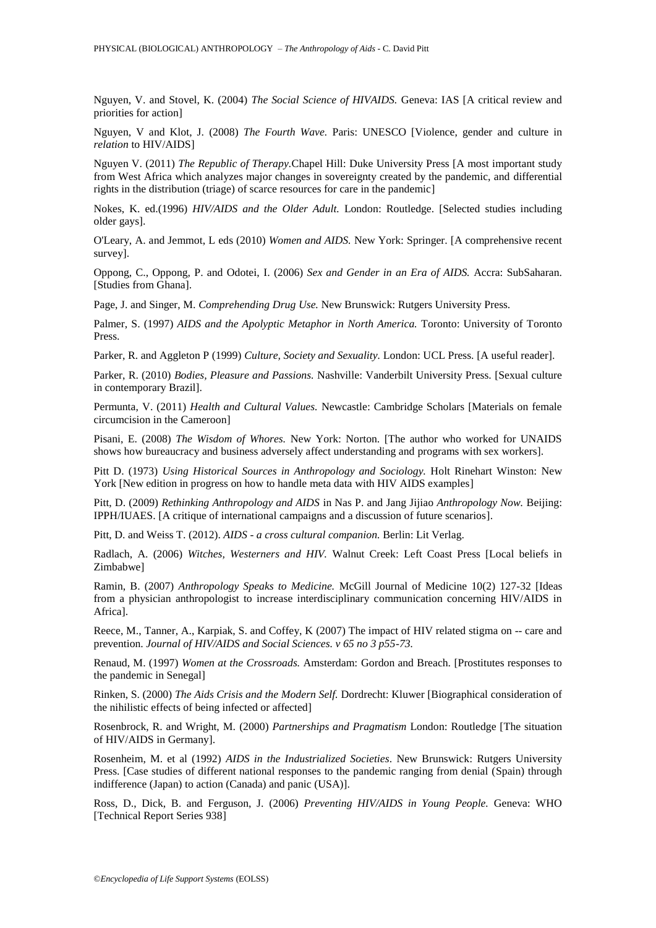Nguyen, V. and Stovel, K. (2004) *The Social Science of HIVAIDS.* Geneva: IAS [A critical review and priorities for action]

Nguyen, V and Klot, J. (2008) *The Fourth Wave.* Paris: UNESCO [Violence, gender and culture in *relation* to HIV/AIDS]

Nguyen V. (2011) *The Republic of Therapy.*Chapel Hill: Duke University Press [A most important study from West Africa which analyzes major changes in sovereignty created by the pandemic, and differential rights in the distribution (triage) of scarce resources for care in the pandemic]

Nokes, K. ed.(1996) *HIV/AIDS and the Older Adult.* London: Routledge. [Selected studies including older gays].

O'Leary, A. and Jemmot, L eds (2010) *Women and AIDS.* New York: Springer. [A comprehensive recent survey].

Oppong, C., Oppong, P. and Odotei, I. (2006) *Sex and Gender in an Era of AIDS.* Accra: SubSaharan. [Studies from Ghana].

Page, J. and Singer, M. *Comprehending Drug Use.* New Brunswick: Rutgers University Press.

Palmer, S. (1997) *AIDS and the Apolyptic Metaphor in North America.* Toronto: University of Toronto Press.

Parker, R. and Aggleton P (1999) *Culture, Society and Sexuality.* London: UCL Press. [A useful reader].

Parker, R. (2010) *Bodies, Pleasure and Passions.* Nashville: Vanderbilt University Press. [Sexual culture in contemporary Brazil].

Permunta, V. (2011) *Health and Cultural Values.* Newcastle: Cambridge Scholars [Materials on female circumcision in the Cameroon]

Pisani, E. (2008) *The Wisdom of Whores.* New York: Norton. [The author who worked for UNAIDS shows how bureaucracy and business adversely affect understanding and programs with sex workers].

Pitt D. (1973) *Using Historical Sources in Anthropology and Sociology.* Holt Rinehart Winston: New York [New edition in progress on how to handle meta data with HIV AIDS examples]

Pitt, D. (2009) *Rethinking Anthropology and AIDS* in Nas P. and Jang Jijiao *Anthropology Now.* Beijing: IPPH/IUAES. [A critique of international campaigns and a discussion of future scenarios].

Pitt, D. and Weiss T. (2012). *AIDS* - *a cross cultural companion.* Berlin: Lit Verlag.

Radlach, A. (2006) *Witches, Westerners and HIV.* Walnut Creek: Left Coast Press [Local beliefs in Zimbabwe]

Ramin, B. (2007) *Anthropology Speaks to Medicine.* McGill Journal of Medicine 10(2) 127-32 [Ideas from a physician anthropologist to increase interdisciplinary communication concerning HIV/AIDS in Africa].

Reece, M., Tanner, A., Karpiak, S. and Coffey, K (2007) The impact of HIV related stigma on -- care and prevention. *Journal of HIV/AIDS and Social Sciences. v 65 no 3 p55-73.* 

Renaud, M. (1997) *Women at the Crossroads.* Amsterdam: Gordon and Breach. [Prostitutes responses to the pandemic in Senegal]

Rinken, S. (2000) *The Aids Crisis and the Modern Self.* Dordrecht: Kluwer [Biographical consideration of the nihilistic effects of being infected or affected]

Rosenbrock, R. and Wright, M. (2000) *Partnerships and Pragmatism* London: Routledge [The situation of HIV/AIDS in Germany].

Rosenheim, M. et al (1992) *AIDS in the Industrialized Societies*. New Brunswick: Rutgers University Press. [Case studies of different national responses to the pandemic ranging from denial (Spain) through indifference (Japan) to action (Canada) and panic (USA)].

Ross, D., Dick, B. and Ferguson, J. (2006) *Preventing HIV/AIDS in Young People.* Geneva: WHO [Technical Report Series 938]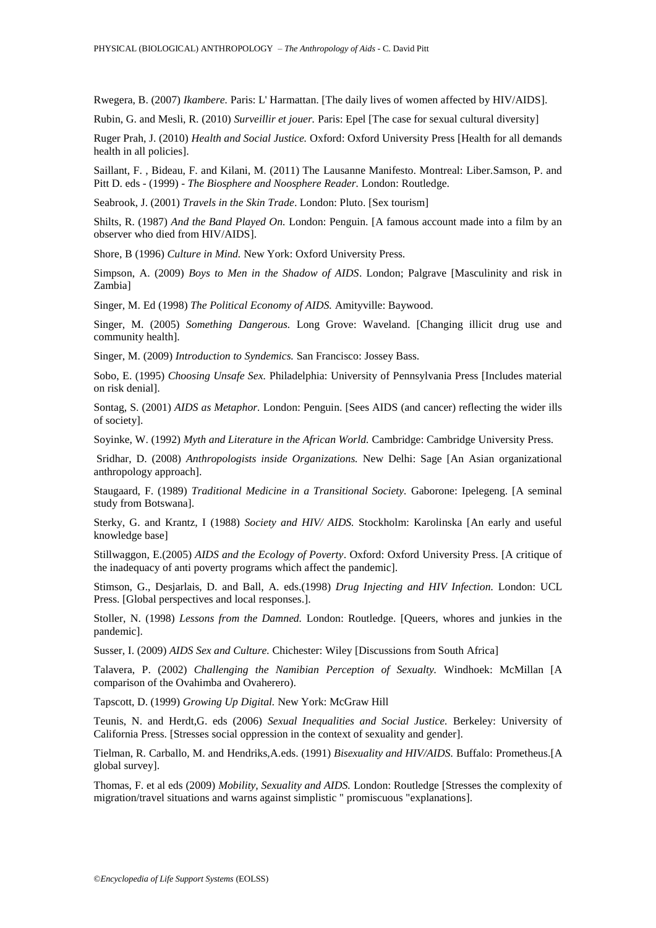Rwegera, B. (2007) *Ikambere.* Paris: L' Harmattan. [The daily lives of women affected by HIV/AIDS].

Rubin, G. and Mesli, R. (2010) *Surveillir et jouer.* Paris: Epel [The case for sexual cultural diversity]

Ruger Prah, J. (2010) *Health and Social Justice.* Oxford: Oxford University Press [Health for all demands health in all policies].

Saillant, F. , Bideau, F. and Kilani, M. (2011) The Lausanne Manifesto. Montreal: Liber.Samson, P. and Pitt D. eds - (1999) - *The Biosphere and Noosphere Reader.* London: Routledge.

Seabrook, J. (2001) *Travels in the Skin Trade*. London: Pluto. [Sex tourism]

Shilts, R. (1987) *And the Band Played On.* London: Penguin. [A famous account made into a film by an observer who died from HIV/AIDS].

Shore, B (1996) *Culture in Mind.* New York: Oxford University Press.

Simpson, A. (2009) *Boys to Men in the Shadow of AIDS*. London; Palgrave [Masculinity and risk in Zambia]

Singer, M. Ed (1998) *The Political Economy of AIDS.* Amityville: Baywood.

Singer, M. (2005) *Something Dangerous.* Long Grove: Waveland. [Changing illicit drug use and community health].

Singer, M. (2009) *Introduction to Syndemics.* San Francisco: Jossey Bass.

Sobo, E. (1995) *Choosing Unsafe Sex.* Philadelphia: University of Pennsylvania Press [Includes material on risk denial].

Sontag, S. (2001) *AIDS as Metaphor.* London: Penguin. [Sees AIDS (and cancer) reflecting the wider ills of society].

Soyinke, W. (1992) *Myth and Literature in the African World.* Cambridge: Cambridge University Press.

Sridhar, D. (2008) *Anthropologists inside Organizations.* New Delhi: Sage [An Asian organizational anthropology approach].

Staugaard, F. (1989) *Traditional Medicine in a Transitional Society.* Gaborone: Ipelegeng. [A seminal study from Botswana].

Sterky, G. and Krantz, I (1988) *Society and HIV/ AIDS.* Stockholm: Karolinska [An early and useful knowledge base]

Stillwaggon, E.(2005) *AIDS and the Ecology of Poverty*. Oxford: Oxford University Press. [A critique of the inadequacy of anti poverty programs which affect the pandemic].

Stimson, G., Desjarlais, D. and Ball, A. eds.(1998) *Drug Injecting and HIV Infection.* London: UCL Press. [Global perspectives and local responses.].

Stoller, N. (1998) *Lessons from the Damned.* London: Routledge. [Queers, whores and junkies in the pandemic].

Susser, I. (2009) *AIDS Sex and Culture.* Chichester: Wiley [Discussions from South Africa]

Talavera, P. (2002) *Challenging the Namibian Perception of Sexualty.* Windhoek: McMillan [A comparison of the Ovahimba and Ovaherero).

Tapscott, D. (1999) *Growing Up Digital.* New York: McGraw Hill

Teunis, N. and Herdt,G. eds (2006) *Sexual Inequalities and Social Justice.* Berkeley: University of California Press. [Stresses social oppression in the context of sexuality and gender].

Tielman, R. Carballo, M. and Hendriks,A.eds. (1991) *Bisexuality and HIV/AIDS.* Buffalo: Prometheus.[A global survey].

Thomas, F. et al eds (2009) *Mobility, Sexuality and AIDS.* London: Routledge [Stresses the complexity of migration/travel situations and warns against simplistic " promiscuous "explanations].